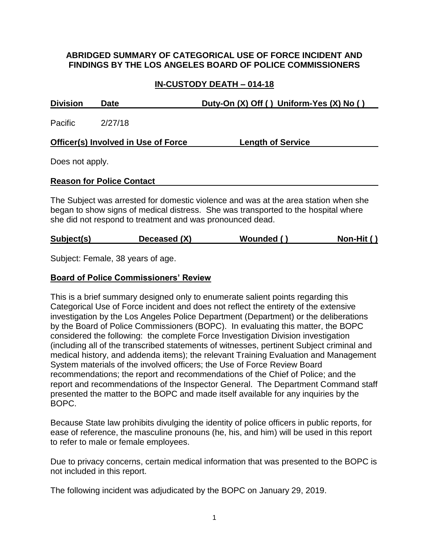### **ABRIDGED SUMMARY OF CATEGORICAL USE OF FORCE INCIDENT AND FINDINGS BY THE LOS ANGELES BOARD OF POLICE COMMISSIONERS**

# **IN-CUSTODY DEATH – 014-18**

| <b>Division</b> | <b>Date</b>                                | Duty-On $(X)$ Off () Uniform-Yes $(X)$ No ()                                                                                                                              |
|-----------------|--------------------------------------------|---------------------------------------------------------------------------------------------------------------------------------------------------------------------------|
| Pacific         | 2/27/18                                    |                                                                                                                                                                           |
|                 | <b>Officer(s) Involved in Use of Force</b> | <b>Length of Service</b>                                                                                                                                                  |
| Does not apply. |                                            |                                                                                                                                                                           |
|                 | <b>Reason for Police Contact</b>           |                                                                                                                                                                           |
|                 |                                            | The Subject was arrested for domestic violence and was at the area station when she<br>began to show signs of medical distress. She was transported to the hospital where |

**Subject(s) Deceased (X) Wounded ( ) Non-Hit ( )**

Subject: Female, 38 years of age.

#### **Board of Police Commissioners' Review**

she did not respond to treatment and was pronounced dead.

This is a brief summary designed only to enumerate salient points regarding this Categorical Use of Force incident and does not reflect the entirety of the extensive investigation by the Los Angeles Police Department (Department) or the deliberations by the Board of Police Commissioners (BOPC). In evaluating this matter, the BOPC considered the following: the complete Force Investigation Division investigation (including all of the transcribed statements of witnesses, pertinent Subject criminal and medical history, and addenda items); the relevant Training Evaluation and Management System materials of the involved officers; the Use of Force Review Board recommendations; the report and recommendations of the Chief of Police; and the report and recommendations of the Inspector General. The Department Command staff presented the matter to the BOPC and made itself available for any inquiries by the BOPC.

Because State law prohibits divulging the identity of police officers in public reports, for ease of reference, the masculine pronouns (he, his, and him) will be used in this report to refer to male or female employees.

Due to privacy concerns, certain medical information that was presented to the BOPC is not included in this report.

The following incident was adjudicated by the BOPC on January 29, 2019.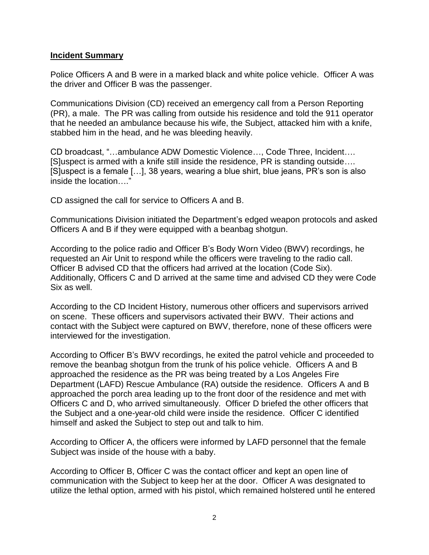#### **Incident Summary**

Police Officers A and B were in a marked black and white police vehicle. Officer A was the driver and Officer B was the passenger.

Communications Division (CD) received an emergency call from a Person Reporting (PR), a male. The PR was calling from outside his residence and told the 911 operator that he needed an ambulance because his wife, the Subject, attacked him with a knife, stabbed him in the head, and he was bleeding heavily.

CD broadcast, "…ambulance ADW Domestic Violence…, Code Three, Incident…. [S]uspect is armed with a knife still inside the residence, PR is standing outside…. [S]uspect is a female […], 38 years, wearing a blue shirt, blue jeans, PR's son is also inside the location…."

CD assigned the call for service to Officers A and B.

Communications Division initiated the Department's edged weapon protocols and asked Officers A and B if they were equipped with a beanbag shotgun.

According to the police radio and Officer B's Body Worn Video (BWV) recordings, he requested an Air Unit to respond while the officers were traveling to the radio call. Officer B advised CD that the officers had arrived at the location (Code Six). Additionally, Officers C and D arrived at the same time and advised CD they were Code Six as well.

According to the CD Incident History, numerous other officers and supervisors arrived on scene. These officers and supervisors activated their BWV. Their actions and contact with the Subject were captured on BWV, therefore, none of these officers were interviewed for the investigation.

According to Officer B's BWV recordings, he exited the patrol vehicle and proceeded to remove the beanbag shotgun from the trunk of his police vehicle. Officers A and B approached the residence as the PR was being treated by a Los Angeles Fire Department (LAFD) Rescue Ambulance (RA) outside the residence. Officers A and B approached the porch area leading up to the front door of the residence and met with Officers C and D, who arrived simultaneously. Officer D briefed the other officers that the Subject and a one-year-old child were inside the residence. Officer C identified himself and asked the Subject to step out and talk to him.

According to Officer A, the officers were informed by LAFD personnel that the female Subject was inside of the house with a baby.

According to Officer B, Officer C was the contact officer and kept an open line of communication with the Subject to keep her at the door. Officer A was designated to utilize the lethal option, armed with his pistol, which remained holstered until he entered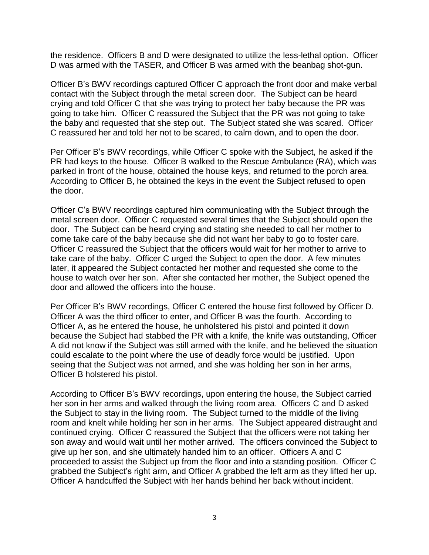the residence. Officers B and D were designated to utilize the less-lethal option. Officer D was armed with the TASER, and Officer B was armed with the beanbag shot-gun.

Officer B's BWV recordings captured Officer C approach the front door and make verbal contact with the Subject through the metal screen door. The Subject can be heard crying and told Officer C that she was trying to protect her baby because the PR was going to take him. Officer C reassured the Subject that the PR was not going to take the baby and requested that she step out. The Subject stated she was scared. Officer C reassured her and told her not to be scared, to calm down, and to open the door.

Per Officer B's BWV recordings, while Officer C spoke with the Subject, he asked if the PR had keys to the house. Officer B walked to the Rescue Ambulance (RA), which was parked in front of the house, obtained the house keys, and returned to the porch area. According to Officer B, he obtained the keys in the event the Subject refused to open the door.

Officer C's BWV recordings captured him communicating with the Subject through the metal screen door. Officer C requested several times that the Subject should open the door. The Subject can be heard crying and stating she needed to call her mother to come take care of the baby because she did not want her baby to go to foster care. Officer C reassured the Subject that the officers would wait for her mother to arrive to take care of the baby. Officer C urged the Subject to open the door. A few minutes later, it appeared the Subject contacted her mother and requested she come to the house to watch over her son. After she contacted her mother, the Subject opened the door and allowed the officers into the house.

Per Officer B's BWV recordings, Officer C entered the house first followed by Officer D. Officer A was the third officer to enter, and Officer B was the fourth. According to Officer A, as he entered the house, he unholstered his pistol and pointed it down because the Subject had stabbed the PR with a knife, the knife was outstanding, Officer A did not know if the Subject was still armed with the knife, and he believed the situation could escalate to the point where the use of deadly force would be justified. Upon seeing that the Subject was not armed, and she was holding her son in her arms, Officer B holstered his pistol.

According to Officer B's BWV recordings, upon entering the house, the Subject carried her son in her arms and walked through the living room area. Officers C and D asked the Subject to stay in the living room. The Subject turned to the middle of the living room and knelt while holding her son in her arms. The Subject appeared distraught and continued crying. Officer C reassured the Subject that the officers were not taking her son away and would wait until her mother arrived. The officers convinced the Subject to give up her son, and she ultimately handed him to an officer. Officers A and C proceeded to assist the Subject up from the floor and into a standing position. Officer C grabbed the Subject's right arm, and Officer A grabbed the left arm as they lifted her up. Officer A handcuffed the Subject with her hands behind her back without incident.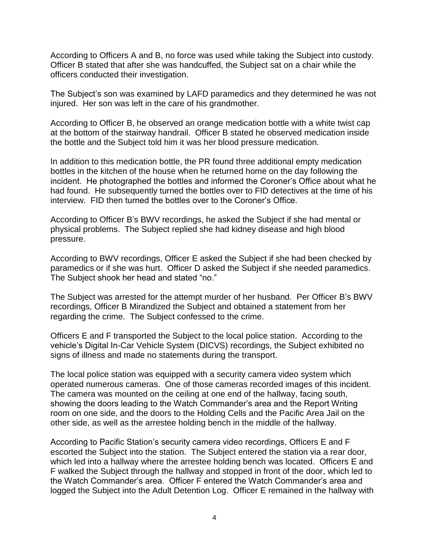According to Officers A and B, no force was used while taking the Subject into custody. Officer B stated that after she was handcuffed, the Subject sat on a chair while the officers conducted their investigation.

The Subject's son was examined by LAFD paramedics and they determined he was not injured. Her son was left in the care of his grandmother.

According to Officer B, he observed an orange medication bottle with a white twist cap at the bottom of the stairway handrail. Officer B stated he observed medication inside the bottle and the Subject told him it was her blood pressure medication.

In addition to this medication bottle, the PR found three additional empty medication bottles in the kitchen of the house when he returned home on the day following the incident. He photographed the bottles and informed the Coroner's Office about what he had found. He subsequently turned the bottles over to FID detectives at the time of his interview. FID then turned the bottles over to the Coroner's Office.

According to Officer B's BWV recordings, he asked the Subject if she had mental or physical problems. The Subject replied she had kidney disease and high blood pressure.

According to BWV recordings, Officer E asked the Subject if she had been checked by paramedics or if she was hurt. Officer D asked the Subject if she needed paramedics. The Subject shook her head and stated "no."

The Subject was arrested for the attempt murder of her husband. Per Officer B's BWV recordings, Officer B Mirandized the Subject and obtained a statement from her regarding the crime. The Subject confessed to the crime.

Officers E and F transported the Subject to the local police station. According to the vehicle's Digital In-Car Vehicle System (DICVS) recordings, the Subject exhibited no signs of illness and made no statements during the transport.

The local police station was equipped with a security camera video system which operated numerous cameras. One of those cameras recorded images of this incident. The camera was mounted on the ceiling at one end of the hallway, facing south, showing the doors leading to the Watch Commander's area and the Report Writing room on one side, and the doors to the Holding Cells and the Pacific Area Jail on the other side, as well as the arrestee holding bench in the middle of the hallway.

According to Pacific Station's security camera video recordings, Officers E and F escorted the Subject into the station. The Subject entered the station via a rear door, which led into a hallway where the arrestee holding bench was located. Officers E and F walked the Subject through the hallway and stopped in front of the door, which led to the Watch Commander's area. Officer F entered the Watch Commander's area and logged the Subject into the Adult Detention Log. Officer E remained in the hallway with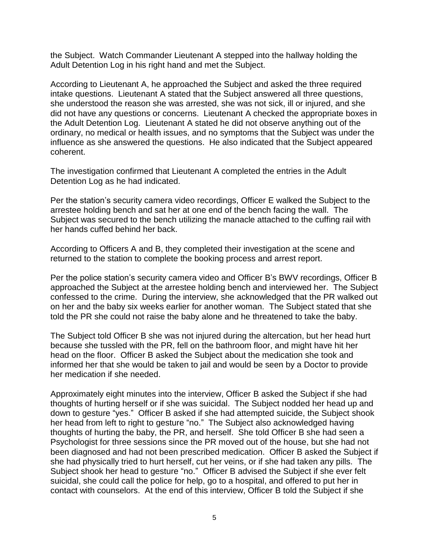the Subject. Watch Commander Lieutenant A stepped into the hallway holding the Adult Detention Log in his right hand and met the Subject.

According to Lieutenant A, he approached the Subject and asked the three required intake questions. Lieutenant A stated that the Subject answered all three questions, she understood the reason she was arrested, she was not sick, ill or injured, and she did not have any questions or concerns. Lieutenant A checked the appropriate boxes in the Adult Detention Log. Lieutenant A stated he did not observe anything out of the ordinary, no medical or health issues, and no symptoms that the Subject was under the influence as she answered the questions. He also indicated that the Subject appeared coherent.

The investigation confirmed that Lieutenant A completed the entries in the Adult Detention Log as he had indicated.

Per the station's security camera video recordings, Officer E walked the Subject to the arrestee holding bench and sat her at one end of the bench facing the wall. The Subject was secured to the bench utilizing the manacle attached to the cuffing rail with her hands cuffed behind her back.

According to Officers A and B, they completed their investigation at the scene and returned to the station to complete the booking process and arrest report.

Per the police station's security camera video and Officer B's BWV recordings, Officer B approached the Subject at the arrestee holding bench and interviewed her. The Subject confessed to the crime. During the interview, she acknowledged that the PR walked out on her and the baby six weeks earlier for another woman. The Subject stated that she told the PR she could not raise the baby alone and he threatened to take the baby.

The Subject told Officer B she was not injured during the altercation, but her head hurt because she tussled with the PR, fell on the bathroom floor, and might have hit her head on the floor. Officer B asked the Subject about the medication she took and informed her that she would be taken to jail and would be seen by a Doctor to provide her medication if she needed.

Approximately eight minutes into the interview, Officer B asked the Subject if she had thoughts of hurting herself or if she was suicidal. The Subject nodded her head up and down to gesture "yes." Officer B asked if she had attempted suicide, the Subject shook her head from left to right to gesture "no." The Subject also acknowledged having thoughts of hurting the baby, the PR, and herself. She told Officer B she had seen a Psychologist for three sessions since the PR moved out of the house, but she had not been diagnosed and had not been prescribed medication. Officer B asked the Subject if she had physically tried to hurt herself, cut her veins, or if she had taken any pills. The Subject shook her head to gesture "no." Officer B advised the Subject if she ever felt suicidal, she could call the police for help, go to a hospital, and offered to put her in contact with counselors. At the end of this interview, Officer B told the Subject if she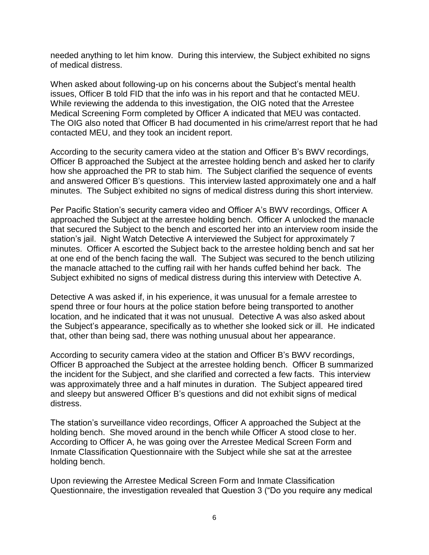needed anything to let him know. During this interview, the Subject exhibited no signs of medical distress.

When asked about following-up on his concerns about the Subject's mental health issues, Officer B told FID that the info was in his report and that he contacted MEU. While reviewing the addenda to this investigation, the OIG noted that the Arrestee Medical Screening Form completed by Officer A indicated that MEU was contacted. The OIG also noted that Officer B had documented in his crime/arrest report that he had contacted MEU, and they took an incident report.

According to the security camera video at the station and Officer B's BWV recordings, Officer B approached the Subject at the arrestee holding bench and asked her to clarify how she approached the PR to stab him. The Subject clarified the sequence of events and answered Officer B's questions. This interview lasted approximately one and a half minutes. The Subject exhibited no signs of medical distress during this short interview.

Per Pacific Station's security camera video and Officer A's BWV recordings, Officer A approached the Subject at the arrestee holding bench. Officer A unlocked the manacle that secured the Subject to the bench and escorted her into an interview room inside the station's jail. Night Watch Detective A interviewed the Subject for approximately 7 minutes. Officer A escorted the Subject back to the arrestee holding bench and sat her at one end of the bench facing the wall. The Subject was secured to the bench utilizing the manacle attached to the cuffing rail with her hands cuffed behind her back. The Subject exhibited no signs of medical distress during this interview with Detective A.

Detective A was asked if, in his experience, it was unusual for a female arrestee to spend three or four hours at the police station before being transported to another location, and he indicated that it was not unusual. Detective A was also asked about the Subject's appearance, specifically as to whether she looked sick or ill. He indicated that, other than being sad, there was nothing unusual about her appearance.

According to security camera video at the station and Officer B's BWV recordings, Officer B approached the Subject at the arrestee holding bench. Officer B summarized the incident for the Subject, and she clarified and corrected a few facts. This interview was approximately three and a half minutes in duration. The Subject appeared tired and sleepy but answered Officer B's questions and did not exhibit signs of medical distress.

The station's surveillance video recordings, Officer A approached the Subject at the holding bench. She moved around in the bench while Officer A stood close to her. According to Officer A, he was going over the Arrestee Medical Screen Form and Inmate Classification Questionnaire with the Subject while she sat at the arrestee holding bench.

Upon reviewing the Arrestee Medical Screen Form and Inmate Classification Questionnaire, the investigation revealed that Question 3 ("Do you require any medical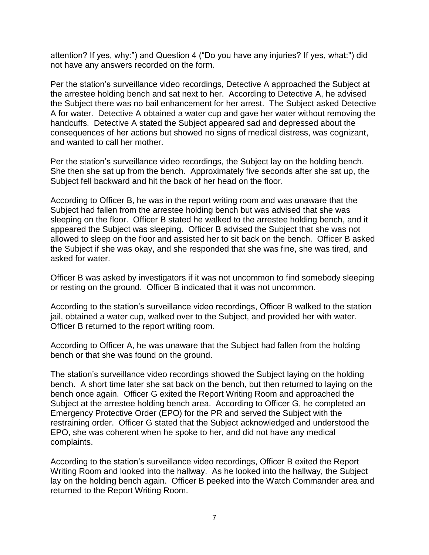attention? If yes, why:") and Question 4 ("Do you have any injuries? If yes, what:") did not have any answers recorded on the form.

Per the station's surveillance video recordings, Detective A approached the Subject at the arrestee holding bench and sat next to her. According to Detective A, he advised the Subject there was no bail enhancement for her arrest. The Subject asked Detective A for water. Detective A obtained a water cup and gave her water without removing the handcuffs. Detective A stated the Subject appeared sad and depressed about the consequences of her actions but showed no signs of medical distress, was cognizant, and wanted to call her mother.

Per the station's surveillance video recordings, the Subject lay on the holding bench. She then she sat up from the bench. Approximately five seconds after she sat up, the Subject fell backward and hit the back of her head on the floor.

According to Officer B, he was in the report writing room and was unaware that the Subject had fallen from the arrestee holding bench but was advised that she was sleeping on the floor. Officer B stated he walked to the arrestee holding bench, and it appeared the Subject was sleeping. Officer B advised the Subject that she was not allowed to sleep on the floor and assisted her to sit back on the bench. Officer B asked the Subject if she was okay, and she responded that she was fine, she was tired, and asked for water.

Officer B was asked by investigators if it was not uncommon to find somebody sleeping or resting on the ground. Officer B indicated that it was not uncommon.

According to the station's surveillance video recordings, Officer B walked to the station jail, obtained a water cup, walked over to the Subject, and provided her with water. Officer B returned to the report writing room.

According to Officer A, he was unaware that the Subject had fallen from the holding bench or that she was found on the ground.

The station's surveillance video recordings showed the Subject laying on the holding bench. A short time later she sat back on the bench, but then returned to laying on the bench once again. Officer G exited the Report Writing Room and approached the Subject at the arrestee holding bench area. According to Officer G, he completed an Emergency Protective Order (EPO) for the PR and served the Subject with the restraining order. Officer G stated that the Subject acknowledged and understood the EPO, she was coherent when he spoke to her, and did not have any medical complaints.

According to the station's surveillance video recordings, Officer B exited the Report Writing Room and looked into the hallway. As he looked into the hallway, the Subject lay on the holding bench again. Officer B peeked into the Watch Commander area and returned to the Report Writing Room.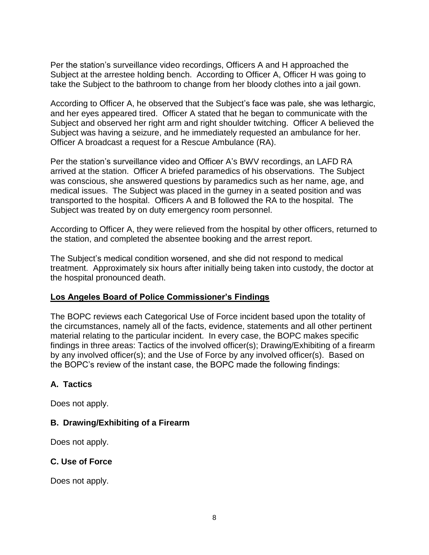Per the station's surveillance video recordings, Officers A and H approached the Subject at the arrestee holding bench. According to Officer A, Officer H was going to take the Subject to the bathroom to change from her bloody clothes into a jail gown.

According to Officer A, he observed that the Subject's face was pale, she was lethargic, and her eyes appeared tired. Officer A stated that he began to communicate with the Subject and observed her right arm and right shoulder twitching. Officer A believed the Subject was having a seizure, and he immediately requested an ambulance for her. Officer A broadcast a request for a Rescue Ambulance (RA).

Per the station's surveillance video and Officer A's BWV recordings, an LAFD RA arrived at the station. Officer A briefed paramedics of his observations. The Subject was conscious, she answered questions by paramedics such as her name, age, and medical issues. The Subject was placed in the gurney in a seated position and was transported to the hospital. Officers A and B followed the RA to the hospital. The Subject was treated by on duty emergency room personnel.

According to Officer A, they were relieved from the hospital by other officers, returned to the station, and completed the absentee booking and the arrest report.

The Subject's medical condition worsened, and she did not respond to medical treatment. Approximately six hours after initially being taken into custody, the doctor at the hospital pronounced death.

### **Los Angeles Board of Police Commissioner's Findings**

The BOPC reviews each Categorical Use of Force incident based upon the totality of the circumstances, namely all of the facts, evidence, statements and all other pertinent material relating to the particular incident. In every case, the BOPC makes specific findings in three areas: Tactics of the involved officer(s); Drawing/Exhibiting of a firearm by any involved officer(s); and the Use of Force by any involved officer(s). Based on the BOPC's review of the instant case, the BOPC made the following findings:

### **A. Tactics**

Does not apply.

### **B. Drawing/Exhibiting of a Firearm**

Does not apply.

### **C. Use of Force**

Does not apply.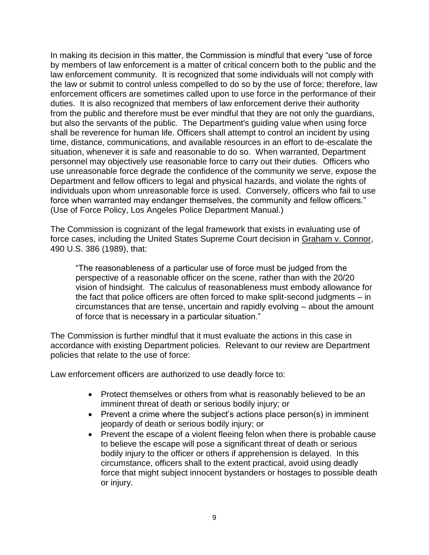In making its decision in this matter, the Commission is mindful that every "use of force by members of law enforcement is a matter of critical concern both to the public and the law enforcement community. It is recognized that some individuals will not comply with the law or submit to control unless compelled to do so by the use of force; therefore, law enforcement officers are sometimes called upon to use force in the performance of their duties. It is also recognized that members of law enforcement derive their authority from the public and therefore must be ever mindful that they are not only the guardians, but also the servants of the public. The Department's guiding value when using force shall be reverence for human life. Officers shall attempt to control an incident by using time, distance, communications, and available resources in an effort to de-escalate the situation, whenever it is safe and reasonable to do so. When warranted, Department personnel may objectively use reasonable force to carry out their duties. Officers who use unreasonable force degrade the confidence of the community we serve, expose the Department and fellow officers to legal and physical hazards, and violate the rights of individuals upon whom unreasonable force is used. Conversely, officers who fail to use force when warranted may endanger themselves, the community and fellow officers." (Use of Force Policy, Los Angeles Police Department Manual.)

The Commission is cognizant of the legal framework that exists in evaluating use of force cases, including the United States Supreme Court decision in Graham v. Connor, 490 U.S. 386 (1989), that:

"The reasonableness of a particular use of force must be judged from the perspective of a reasonable officer on the scene, rather than with the 20/20 vision of hindsight. The calculus of reasonableness must embody allowance for the fact that police officers are often forced to make split-second judgments – in circumstances that are tense, uncertain and rapidly evolving – about the amount of force that is necessary in a particular situation."

The Commission is further mindful that it must evaluate the actions in this case in accordance with existing Department policies. Relevant to our review are Department policies that relate to the use of force:

Law enforcement officers are authorized to use deadly force to:

- Protect themselves or others from what is reasonably believed to be an imminent threat of death or serious bodily injury; or
- Prevent a crime where the subject's actions place person(s) in imminent jeopardy of death or serious bodily injury; or
- Prevent the escape of a violent fleeing felon when there is probable cause to believe the escape will pose a significant threat of death or serious bodily injury to the officer or others if apprehension is delayed. In this circumstance, officers shall to the extent practical, avoid using deadly force that might subject innocent bystanders or hostages to possible death or injury.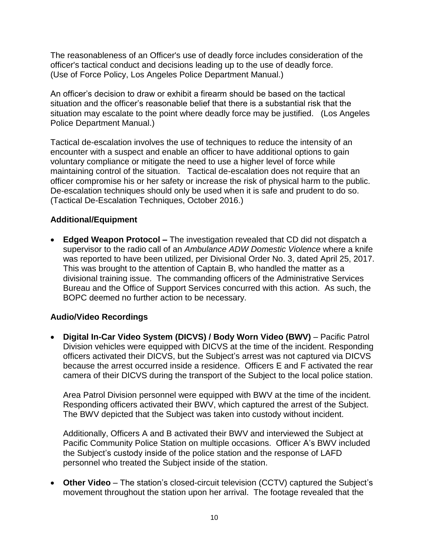The reasonableness of an Officer's use of deadly force includes consideration of the officer's tactical conduct and decisions leading up to the use of deadly force. (Use of Force Policy, Los Angeles Police Department Manual.)

An officer's decision to draw or exhibit a firearm should be based on the tactical situation and the officer's reasonable belief that there is a substantial risk that the situation may escalate to the point where deadly force may be justified. (Los Angeles Police Department Manual.)

Tactical de-escalation involves the use of techniques to reduce the intensity of an encounter with a suspect and enable an officer to have additional options to gain voluntary compliance or mitigate the need to use a higher level of force while maintaining control of the situation. Tactical de-escalation does not require that an officer compromise his or her safety or increase the risk of physical harm to the public. De-escalation techniques should only be used when it is safe and prudent to do so. (Tactical De-Escalation Techniques, October 2016.)

## **Additional/Equipment**

• **Edged Weapon Protocol –** The investigation revealed that CD did not dispatch a supervisor to the radio call of an *Ambulance ADW Domestic Violence* where a knife was reported to have been utilized, per Divisional Order No. 3, dated April 25, 2017. This was brought to the attention of Captain B, who handled the matter as a divisional training issue. The commanding officers of the Administrative Services Bureau and the Office of Support Services concurred with this action. As such, the BOPC deemed no further action to be necessary.

## **Audio/Video Recordings**

• **Digital In-Car Video System (DICVS) / Body Worn Video (BWV)** – Pacific Patrol Division vehicles were equipped with DICVS at the time of the incident. Responding officers activated their DICVS, but the Subject's arrest was not captured via DICVS because the arrest occurred inside a residence. Officers E and F activated the rear camera of their DICVS during the transport of the Subject to the local police station.

Area Patrol Division personnel were equipped with BWV at the time of the incident. Responding officers activated their BWV, which captured the arrest of the Subject. The BWV depicted that the Subject was taken into custody without incident.

Additionally, Officers A and B activated their BWV and interviewed the Subject at Pacific Community Police Station on multiple occasions. Officer A's BWV included the Subject's custody inside of the police station and the response of LAFD personnel who treated the Subject inside of the station.

• **Other Video** – The station's closed-circuit television (CCTV) captured the Subject's movement throughout the station upon her arrival. The footage revealed that the